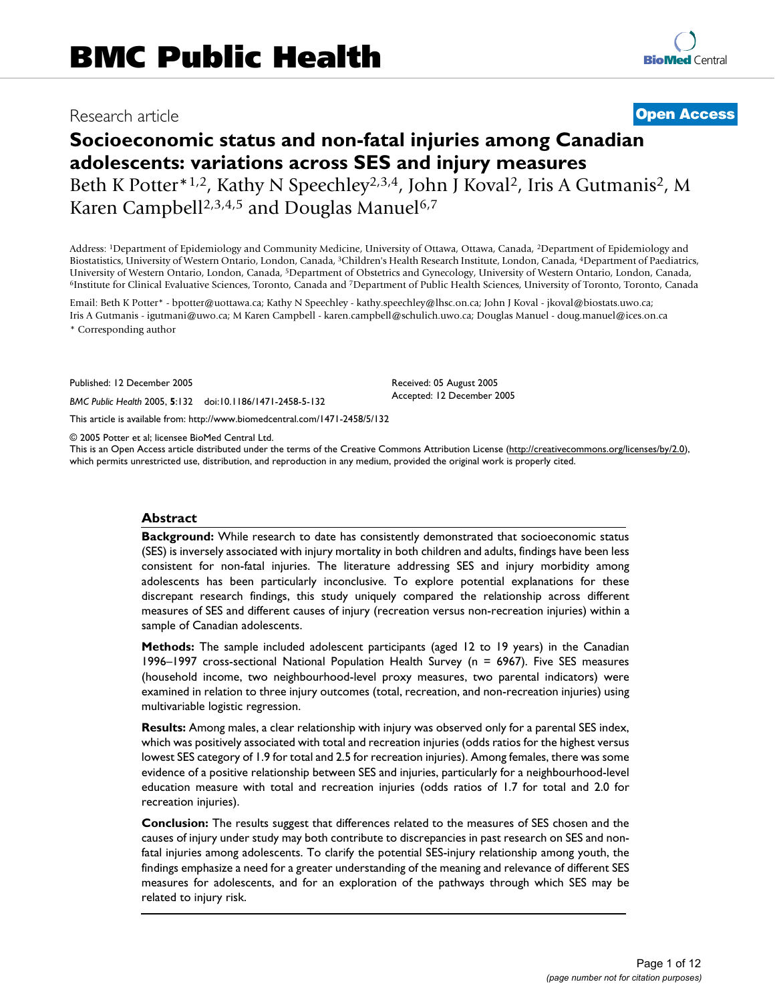# Research article **[Open Access](http://www.biomedcentral.com/info/about/charter/)**

# **Socioeconomic status and non-fatal injuries among Canadian adolescents: variations across SES and injury measures** Beth K Potter<sup>\*1,2</sup>, Kathy N Speechley<sup>2,3,4</sup>, John J Koval<sup>2</sup>, Iris A Gutmanis<sup>2</sup>, M Karen Campbell<sup>2,3,4,5</sup> and Douglas Manuel<sup>6,7</sup>

Address: 1Department of Epidemiology and Community Medicine, University of Ottawa, Ottawa, Canada, 2Department of Epidemiology and Biostatistics, University of Western Ontario, London, Canada, 3Children's Health Research Institute, London, Canada, 4Department of Paediatrics, University of Western Ontario, London, Canada, <sup>5</sup>Department of Obstetrics and Gynecology, University of Western Ontario, London, Canada, <sup>6</sup>Institute for Clinical Evaluative Sciences, Toronto, Canada and <sup>7</sup>Department of

Email: Beth K Potter\* - bpotter@uottawa.ca; Kathy N Speechley - kathy.speechley@lhsc.on.ca; John J Koval - jkoval@biostats.uwo.ca; Iris A Gutmanis - igutmani@uwo.ca; M Karen Campbell - karen.campbell@schulich.uwo.ca; Douglas Manuel - doug.manuel@ices.on.ca \* Corresponding author

Published: 12 December 2005

*BMC Public Health* 2005, **5**:132 doi:10.1186/1471-2458-5-132

[This article is available from: http://www.biomedcentral.com/1471-2458/5/132](http://www.biomedcentral.com/1471-2458/5/132)

© 2005 Potter et al; licensee BioMed Central Ltd.

This is an Open Access article distributed under the terms of the Creative Commons Attribution License [\(http://creativecommons.org/licenses/by/2.0\)](http://creativecommons.org/licenses/by/2.0), which permits unrestricted use, distribution, and reproduction in any medium, provided the original work is properly cited.

Received: 05 August 2005 Accepted: 12 December 2005

### **Abstract**

**Background:** While research to date has consistently demonstrated that socioeconomic status (SES) is inversely associated with injury mortality in both children and adults, findings have been less consistent for non-fatal injuries. The literature addressing SES and injury morbidity among adolescents has been particularly inconclusive. To explore potential explanations for these discrepant research findings, this study uniquely compared the relationship across different measures of SES and different causes of injury (recreation versus non-recreation injuries) within a sample of Canadian adolescents.

**Methods:** The sample included adolescent participants (aged 12 to 19 years) in the Canadian 1996–1997 cross-sectional National Population Health Survey (n = 6967). Five SES measures (household income, two neighbourhood-level proxy measures, two parental indicators) were examined in relation to three injury outcomes (total, recreation, and non-recreation injuries) using multivariable logistic regression.

**Results:** Among males, a clear relationship with injury was observed only for a parental SES index, which was positively associated with total and recreation injuries (odds ratios for the highest versus lowest SES category of 1.9 for total and 2.5 for recreation injuries). Among females, there was some evidence of a positive relationship between SES and injuries, particularly for a neighbourhood-level education measure with total and recreation injuries (odds ratios of 1.7 for total and 2.0 for recreation injuries).

**Conclusion:** The results suggest that differences related to the measures of SES chosen and the causes of injury under study may both contribute to discrepancies in past research on SES and nonfatal injuries among adolescents. To clarify the potential SES-injury relationship among youth, the findings emphasize a need for a greater understanding of the meaning and relevance of different SES measures for adolescents, and for an exploration of the pathways through which SES may be related to injury risk.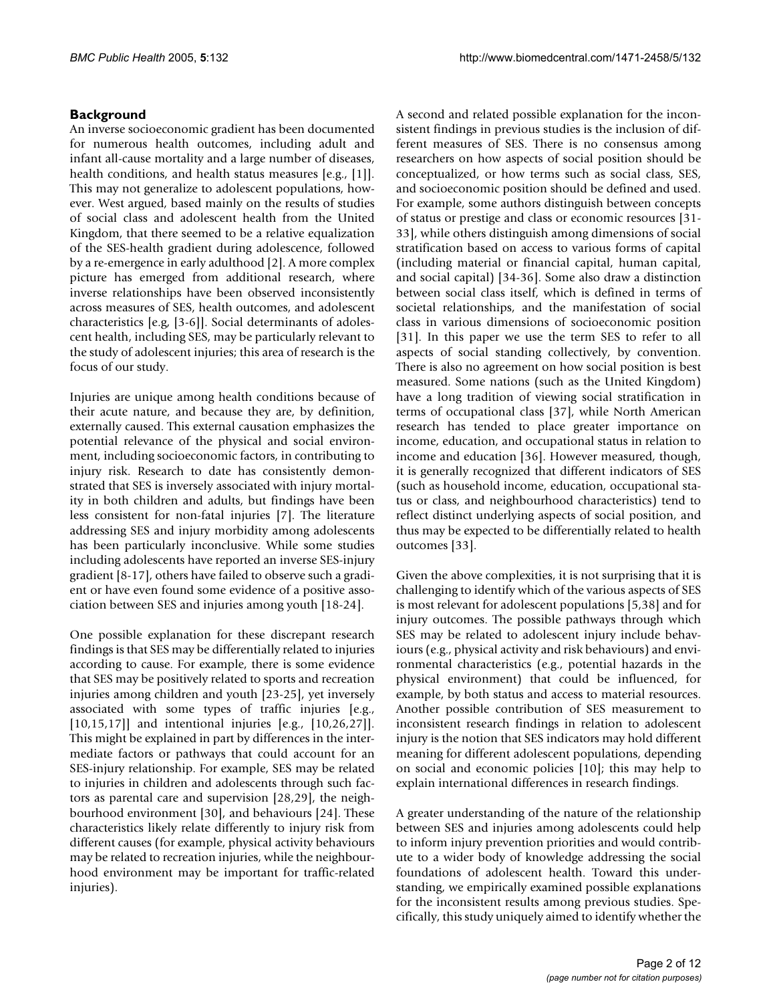# **Background**

An inverse socioeconomic gradient has been documented for numerous health outcomes, including adult and infant all-cause mortality and a large number of diseases, health conditions, and health status measures [e.g., [1]]. This may not generalize to adolescent populations, however. West argued, based mainly on the results of studies of social class and adolescent health from the United Kingdom, that there seemed to be a relative equalization of the SES-health gradient during adolescence, followed by a re-emergence in early adulthood [2]. A more complex picture has emerged from additional research, where inverse relationships have been observed inconsistently across measures of SES, health outcomes, and adolescent characteristics [e.g, [3-6]]. Social determinants of adolescent health, including SES, may be particularly relevant to the study of adolescent injuries; this area of research is the focus of our study.

Injuries are unique among health conditions because of their acute nature, and because they are, by definition, externally caused. This external causation emphasizes the potential relevance of the physical and social environment, including socioeconomic factors, in contributing to injury risk. Research to date has consistently demonstrated that SES is inversely associated with injury mortality in both children and adults, but findings have been less consistent for non-fatal injuries [7]. The literature addressing SES and injury morbidity among adolescents has been particularly inconclusive. While some studies including adolescents have reported an inverse SES-injury gradient [8-17], others have failed to observe such a gradient or have even found some evidence of a positive association between SES and injuries among youth [18-24].

One possible explanation for these discrepant research findings is that SES may be differentially related to injuries according to cause. For example, there is some evidence that SES may be positively related to sports and recreation injuries among children and youth [23-25], yet inversely associated with some types of traffic injuries [e.g., [10,15,17]] and intentional injuries [e.g., [10,26,27]]. This might be explained in part by differences in the intermediate factors or pathways that could account for an SES-injury relationship. For example, SES may be related to injuries in children and adolescents through such factors as parental care and supervision [28,29], the neighbourhood environment [30], and behaviours [24]. These characteristics likely relate differently to injury risk from different causes (for example, physical activity behaviours may be related to recreation injuries, while the neighbourhood environment may be important for traffic-related injuries).

A second and related possible explanation for the inconsistent findings in previous studies is the inclusion of different measures of SES. There is no consensus among researchers on how aspects of social position should be conceptualized, or how terms such as social class, SES, and socioeconomic position should be defined and used. For example, some authors distinguish between concepts of status or prestige and class or economic resources [31- 33], while others distinguish among dimensions of social stratification based on access to various forms of capital (including material or financial capital, human capital, and social capital) [34-36]. Some also draw a distinction between social class itself, which is defined in terms of societal relationships, and the manifestation of social class in various dimensions of socioeconomic position [31]. In this paper we use the term SES to refer to all aspects of social standing collectively, by convention. There is also no agreement on how social position is best measured. Some nations (such as the United Kingdom) have a long tradition of viewing social stratification in terms of occupational class [37], while North American research has tended to place greater importance on income, education, and occupational status in relation to income and education [36]. However measured, though, it is generally recognized that different indicators of SES (such as household income, education, occupational status or class, and neighbourhood characteristics) tend to reflect distinct underlying aspects of social position, and thus may be expected to be differentially related to health outcomes [33].

Given the above complexities, it is not surprising that it is challenging to identify which of the various aspects of SES is most relevant for adolescent populations [5,38] and for injury outcomes. The possible pathways through which SES may be related to adolescent injury include behaviours (e.g., physical activity and risk behaviours) and environmental characteristics (e.g., potential hazards in the physical environment) that could be influenced, for example, by both status and access to material resources. Another possible contribution of SES measurement to inconsistent research findings in relation to adolescent injury is the notion that SES indicators may hold different meaning for different adolescent populations, depending on social and economic policies [10]; this may help to explain international differences in research findings.

A greater understanding of the nature of the relationship between SES and injuries among adolescents could help to inform injury prevention priorities and would contribute to a wider body of knowledge addressing the social foundations of adolescent health. Toward this understanding, we empirically examined possible explanations for the inconsistent results among previous studies. Specifically, this study uniquely aimed to identify whether the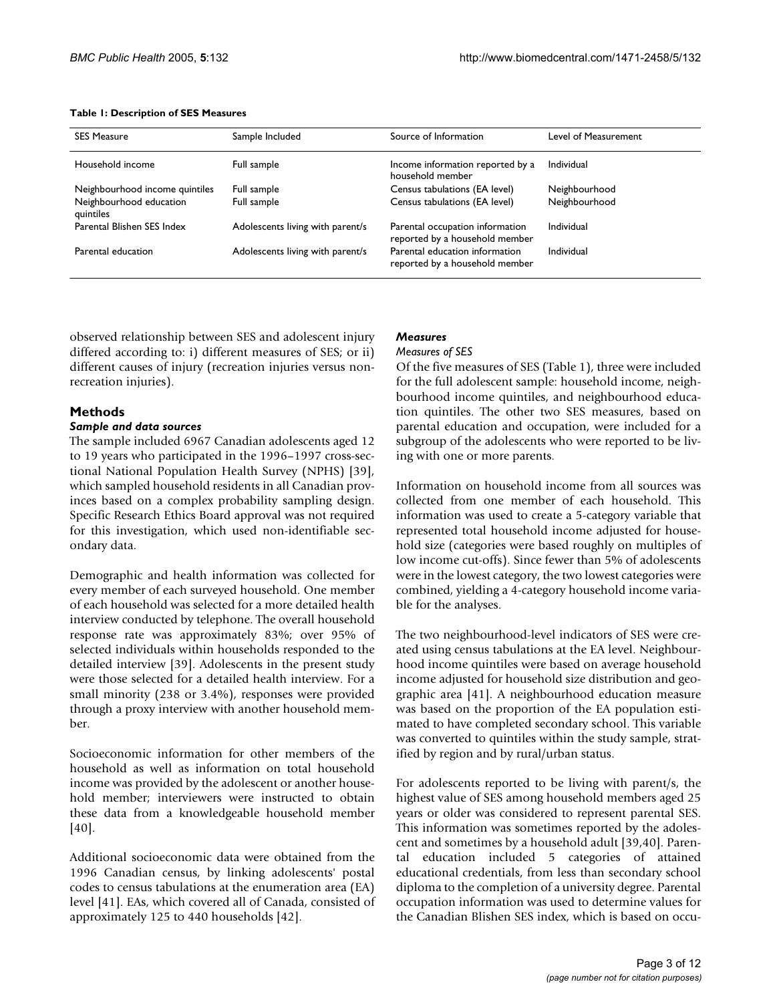### **Table 1: Description of SES Measures**

| <b>SES Measure</b>                   | Sample Included                  | Source of Information                                             | Level of Measurement |
|--------------------------------------|----------------------------------|-------------------------------------------------------------------|----------------------|
| Household income                     | Full sample                      | Income information reported by a<br>household member              | Individual           |
| Neighbourhood income quintiles       | Full sample                      | Census tabulations (EA level)                                     | Neighbourhood        |
| Neighbourhood education<br>quintiles | Full sample                      | Census tabulations (EA level)                                     | Neighbourhood        |
| Parental Blishen SES Index           | Adolescents living with parent/s | Parental occupation information<br>reported by a household member | Individual           |
| Parental education                   | Adolescents living with parent/s | Parental education information<br>reported by a household member  | Individual           |

observed relationship between SES and adolescent injury differed according to: i) different measures of SES; or ii) different causes of injury (recreation injuries versus nonrecreation injuries).

# **Methods**

### *Sample and data sources*

The sample included 6967 Canadian adolescents aged 12 to 19 years who participated in the 1996–1997 cross-sectional National Population Health Survey (NPHS) [39], which sampled household residents in all Canadian provinces based on a complex probability sampling design. Specific Research Ethics Board approval was not required for this investigation, which used non-identifiable secondary data.

Demographic and health information was collected for every member of each surveyed household. One member of each household was selected for a more detailed health interview conducted by telephone. The overall household response rate was approximately 83%; over 95% of selected individuals within households responded to the detailed interview [39]. Adolescents in the present study were those selected for a detailed health interview. For a small minority (238 or 3.4%), responses were provided through a proxy interview with another household member.

Socioeconomic information for other members of the household as well as information on total household income was provided by the adolescent or another household member; interviewers were instructed to obtain these data from a knowledgeable household member [40].

Additional socioeconomic data were obtained from the 1996 Canadian census, by linking adolescents' postal codes to census tabulations at the enumeration area (EA) level [41]. EAs, which covered all of Canada, consisted of approximately 125 to 440 households [42].

### *Measures Measures of SES*

Of the five measures of SES (Table 1), three were included for the full adolescent sample: household income, neighbourhood income quintiles, and neighbourhood education quintiles. The other two SES measures, based on parental education and occupation, were included for a subgroup of the adolescents who were reported to be living with one or more parents.

Information on household income from all sources was collected from one member of each household. This information was used to create a 5-category variable that represented total household income adjusted for household size (categories were based roughly on multiples of low income cut-offs). Since fewer than 5% of adolescents were in the lowest category, the two lowest categories were combined, yielding a 4-category household income variable for the analyses.

The two neighbourhood-level indicators of SES were created using census tabulations at the EA level. Neighbourhood income quintiles were based on average household income adjusted for household size distribution and geographic area [41]. A neighbourhood education measure was based on the proportion of the EA population estimated to have completed secondary school. This variable was converted to quintiles within the study sample, stratified by region and by rural/urban status.

For adolescents reported to be living with parent/s, the highest value of SES among household members aged 25 years or older was considered to represent parental SES. This information was sometimes reported by the adolescent and sometimes by a household adult [39,40]. Parental education included 5 categories of attained educational credentials, from less than secondary school diploma to the completion of a university degree. Parental occupation information was used to determine values for the Canadian Blishen SES index, which is based on occu-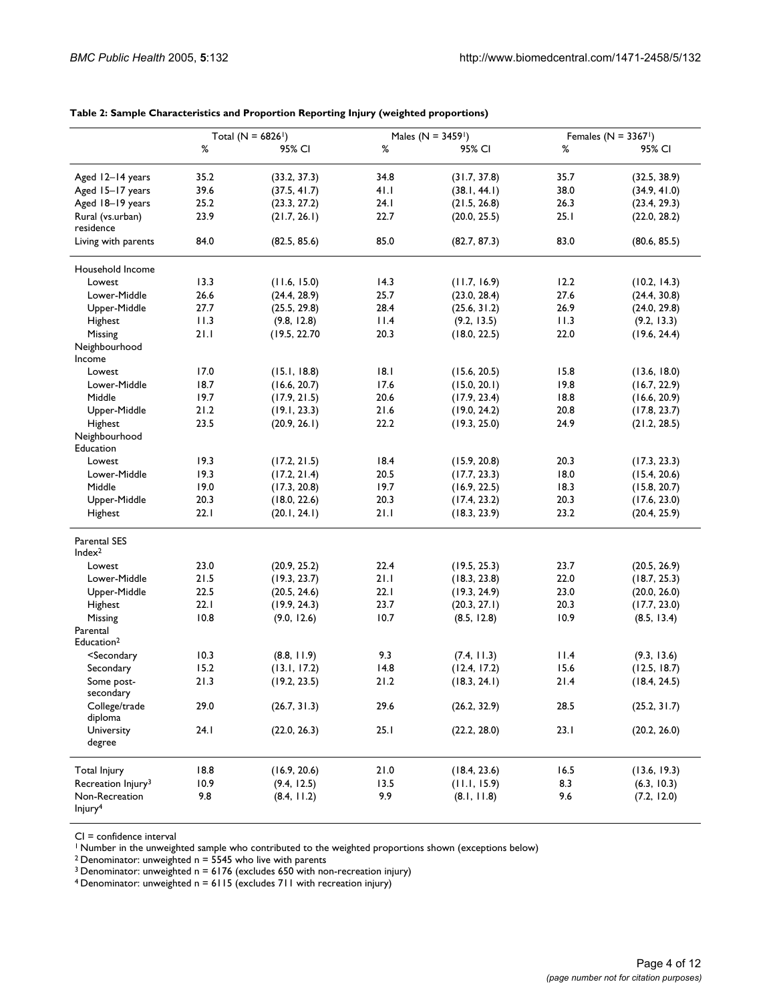|                                                                                                                                   |      | Total ( $N = 6826$ <sup>1</sup> ) |      | Males ( $N = 3459$ <sup>1</sup> ) |      | Females ( $N = 3367$ <sup>1</sup> ) |
|-----------------------------------------------------------------------------------------------------------------------------------|------|-----------------------------------|------|-----------------------------------|------|-------------------------------------|
|                                                                                                                                   | ℅    | 95% CI                            | %    | 95% CI                            | $\%$ | 95% CI                              |
| Aged 12-14 years                                                                                                                  | 35.2 | (33.2, 37.3)                      | 34.8 | (31.7, 37.8)                      | 35.7 | (32.5, 38.9)                        |
| Aged 15-17 years                                                                                                                  | 39.6 | (37.5, 41.7)                      | 41.1 | (38.1, 44.1)                      | 38.0 | (34.9, 41.0)                        |
| Aged 18-19 years                                                                                                                  | 25.2 | (23.3, 27.2)                      | 24.1 | (21.5, 26.8)                      | 26.3 | (23.4, 29.3)                        |
| Rural (vs.urban)                                                                                                                  | 23.9 | (21.7, 26.1)                      | 22.7 | (20.0, 25.5)                      | 25.1 | (22.0, 28.2)                        |
| residence                                                                                                                         |      |                                   |      |                                   |      |                                     |
| Living with parents                                                                                                               | 84.0 | (82.5, 85.6)                      | 85.0 | (82.7, 87.3)                      | 83.0 | (80.6, 85.5)                        |
| Household Income                                                                                                                  |      |                                   |      |                                   |      |                                     |
| Lowest                                                                                                                            | 13.3 | (11.6, 15.0)                      | 14.3 | (11.7, 16.9)                      | 12.2 | (10.2, 14.3)                        |
| Lower-Middle                                                                                                                      | 26.6 | (24.4, 28.9)                      | 25.7 | (23.0, 28.4)                      | 27.6 | (24.4, 30.8)                        |
| Upper-Middle                                                                                                                      | 27.7 | (25.5, 29.8)                      | 28.4 | (25.6, 31.2)                      | 26.9 | (24.0, 29.8)                        |
| Highest                                                                                                                           | 11.3 | (9.8, 12.8)                       | 11.4 | (9.2, 13.5)                       | 11.3 | (9.2, 13.3)                         |
| Missing                                                                                                                           | 21.1 | (19.5, 22.70)                     | 20.3 | (18.0, 22.5)                      | 22.0 | (19.6, 24.4)                        |
| Neighbourhood<br>Income                                                                                                           |      |                                   |      |                                   |      |                                     |
| Lowest                                                                                                                            | 17.0 | (15.1, 18.8)                      | 8.1  | (15.6, 20.5)                      | 15.8 | (13.6, 18.0)                        |
| Lower-Middle                                                                                                                      | 18.7 | (16.6, 20.7)                      | 17.6 | (15.0, 20.1)                      | 19.8 | (16.7, 22.9)                        |
| Middle                                                                                                                            | 19.7 | (17.9, 21.5)                      | 20.6 | (17.9, 23.4)                      | 18.8 | (16.6, 20.9)                        |
| Upper-Middle                                                                                                                      | 21.2 | (19.1, 23.3)                      | 21.6 | (19.0, 24.2)                      | 20.8 | (17.8, 23.7)                        |
| Highest                                                                                                                           | 23.5 | (20.9, 26.1)                      | 22.2 | (19.3, 25.0)                      | 24.9 | (21.2, 28.5)                        |
| Neighbourhood<br>Education                                                                                                        |      |                                   |      |                                   |      |                                     |
|                                                                                                                                   |      |                                   |      |                                   |      |                                     |
| Lowest                                                                                                                            | 19.3 | (17.2, 21.5)                      | 18.4 | (15.9, 20.8)                      | 20.3 | (17.3, 23.3)                        |
| Lower-Middle                                                                                                                      | 19.3 | (17.2, 21.4)                      | 20.5 | (17.7, 23.3)                      | 18.0 | (15.4, 20.6)                        |
| Middle                                                                                                                            | 19.0 | (17.3, 20.8)                      | 19.7 | (16.9, 22.5)                      | 18.3 | (15.8, 20.7)                        |
| Upper-Middle                                                                                                                      | 20.3 | (18.0, 22.6)                      | 20.3 | (17.4, 23.2)                      | 20.3 | (17.6, 23.0)                        |
| Highest                                                                                                                           | 22.1 | (20.1, 24.1)                      | 21.1 | (18.3, 23.9)                      | 23.2 | (20.4, 25.9)                        |
| <b>Parental SES</b><br>Index <sup>2</sup>                                                                                         |      |                                   |      |                                   |      |                                     |
| Lowest                                                                                                                            | 23.0 | (20.9, 25.2)                      | 22.4 | (19.5, 25.3)                      | 23.7 | (20.5, 26.9)                        |
| Lower-Middle                                                                                                                      | 21.5 | (19.3, 23.7)                      | 21.1 | (18.3, 23.8)                      | 22.0 | (18.7, 25.3)                        |
| Upper-Middle                                                                                                                      | 22.5 | (20.5, 24.6)                      | 22.1 | (19.3, 24.9)                      | 23.0 | (20.0, 26.0)                        |
| Highest                                                                                                                           | 22.1 | (19.9, 24.3)                      | 23.7 | (20.3, 27.1)                      | 20.3 | (17.7, 23.0)                        |
| Missing                                                                                                                           | 10.8 | (9.0, 12.6)                       | 10.7 | (8.5, 12.8)                       | 10.9 | (8.5, 13.4)                         |
| Parental                                                                                                                          |      |                                   |      |                                   |      |                                     |
| Education <sup>2</sup>                                                                                                            |      |                                   |      |                                   |      |                                     |
| <secondary< td=""><td>10.3</td><td>(8.8, 11.9)</td><td>9.3</td><td>(7.4, 11.3)</td><td>11.4</td><td>(9.3, 13.6)</td></secondary<> | 10.3 | (8.8, 11.9)                       | 9.3  | (7.4, 11.3)                       | 11.4 | (9.3, 13.6)                         |
| Secondary                                                                                                                         | 15.2 | (13.1, 17.2)                      | 14.8 | (12.4, 17.2)                      | 15.6 | (12.5, 18.7)                        |
| Some post-                                                                                                                        | 21.3 | (19.2, 23.5)                      | 21.2 | (18.3, 24.1)                      | 21.4 | (18.4, 24.5)                        |
| secondary                                                                                                                         |      |                                   |      |                                   |      |                                     |
| College/trade                                                                                                                     | 29.0 | (26.7, 31.3)                      | 29.6 | (26.2, 32.9)                      | 28.5 | (25.2, 31.7)                        |
| diploma                                                                                                                           |      |                                   |      |                                   |      |                                     |
| University                                                                                                                        | 24.1 | (22.0, 26.3)                      | 25.1 | (22.2, 28.0)                      | 23.1 | (20.2, 26.0)                        |
| degree                                                                                                                            |      |                                   |      |                                   |      |                                     |
| <b>Total Injury</b>                                                                                                               | 18.8 | (16.9, 20.6)                      | 21.0 | (18.4, 23.6)                      | 16.5 | (13.6, 19.3)                        |
| Recreation Injury <sup>3</sup>                                                                                                    | 10.9 | (9.4, 12.5)                       | 13.5 | (11.1, 15.9)                      | 8.3  | (6.3, 10.3)                         |
| Non-Recreation                                                                                                                    | 9.8  | (8.4, 11.2)                       | 9.9  | (8.1, 11.8)                       | 9.6  | (7.2, 12.0)                         |
| Injury <sup>4</sup>                                                                                                               |      |                                   |      |                                   |      |                                     |

### **Table 2: Sample Characteristics and Proportion Reporting Injury (weighted proportions)**

CI = confidence interval

<sup>1</sup> Number in the unweighted sample who contributed to the weighted proportions shown (exceptions below)

<sup>2</sup> Denominator: unweighted  $n = 5545$  who live with parents

<sup>3</sup> Denominator: unweighted  $n = 6176$  (excludes 650 with non-recreation injury)

<sup>4</sup> Denominator: unweighted  $n = 6115$  (excludes 711 with recreation injury)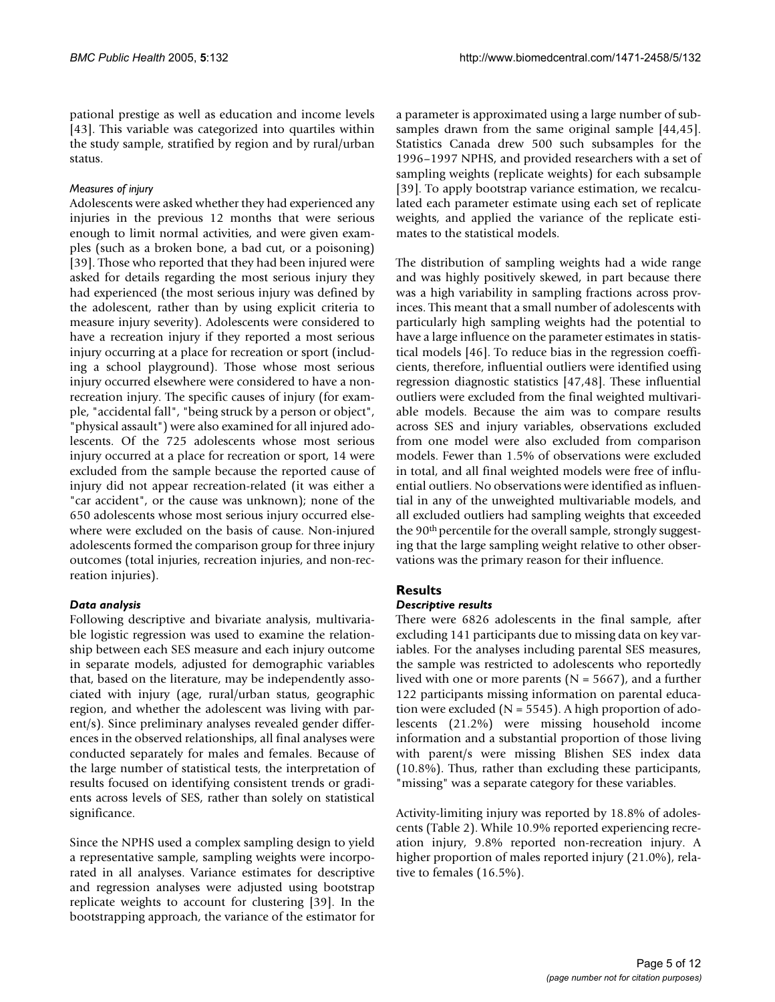pational prestige as well as education and income levels [43]. This variable was categorized into quartiles within the study sample, stratified by region and by rural/urban status.

# *Measures of injury*

Adolescents were asked whether they had experienced any injuries in the previous 12 months that were serious enough to limit normal activities, and were given examples (such as a broken bone, a bad cut, or a poisoning) [39]. Those who reported that they had been injured were asked for details regarding the most serious injury they had experienced (the most serious injury was defined by the adolescent, rather than by using explicit criteria to measure injury severity). Adolescents were considered to have a recreation injury if they reported a most serious injury occurring at a place for recreation or sport (including a school playground). Those whose most serious injury occurred elsewhere were considered to have a nonrecreation injury. The specific causes of injury (for example, "accidental fall", "being struck by a person or object", "physical assault") were also examined for all injured adolescents. Of the 725 adolescents whose most serious injury occurred at a place for recreation or sport, 14 were excluded from the sample because the reported cause of injury did not appear recreation-related (it was either a "car accident", or the cause was unknown); none of the 650 adolescents whose most serious injury occurred elsewhere were excluded on the basis of cause. Non-injured adolescents formed the comparison group for three injury outcomes (total injuries, recreation injuries, and non-recreation injuries).

# *Data analysis*

Following descriptive and bivariate analysis, multivariable logistic regression was used to examine the relationship between each SES measure and each injury outcome in separate models, adjusted for demographic variables that, based on the literature, may be independently associated with injury (age, rural/urban status, geographic region, and whether the adolescent was living with parent/s). Since preliminary analyses revealed gender differences in the observed relationships, all final analyses were conducted separately for males and females. Because of the large number of statistical tests, the interpretation of results focused on identifying consistent trends or gradients across levels of SES, rather than solely on statistical significance.

Since the NPHS used a complex sampling design to yield a representative sample, sampling weights were incorporated in all analyses. Variance estimates for descriptive and regression analyses were adjusted using bootstrap replicate weights to account for clustering [39]. In the bootstrapping approach, the variance of the estimator for

a parameter is approximated using a large number of subsamples drawn from the same original sample [44,45]. Statistics Canada drew 500 such subsamples for the 1996–1997 NPHS, and provided researchers with a set of sampling weights (replicate weights) for each subsample [39]. To apply bootstrap variance estimation, we recalculated each parameter estimate using each set of replicate weights, and applied the variance of the replicate estimates to the statistical models.

The distribution of sampling weights had a wide range and was highly positively skewed, in part because there was a high variability in sampling fractions across provinces. This meant that a small number of adolescents with particularly high sampling weights had the potential to have a large influence on the parameter estimates in statistical models [46]. To reduce bias in the regression coefficients, therefore, influential outliers were identified using regression diagnostic statistics [47,48]. These influential outliers were excluded from the final weighted multivariable models. Because the aim was to compare results across SES and injury variables, observations excluded from one model were also excluded from comparison models. Fewer than 1.5% of observations were excluded in total, and all final weighted models were free of influential outliers. No observations were identified as influential in any of the unweighted multivariable models, and all excluded outliers had sampling weights that exceeded the 90th percentile for the overall sample, strongly suggesting that the large sampling weight relative to other observations was the primary reason for their influence.

# **Results**

# *Descriptive results*

There were 6826 adolescents in the final sample, after excluding 141 participants due to missing data on key variables. For the analyses including parental SES measures, the sample was restricted to adolescents who reportedly lived with one or more parents ( $N = 5667$ ), and a further 122 participants missing information on parental education were excluded ( $N = 5545$ ). A high proportion of adolescents (21.2%) were missing household income information and a substantial proportion of those living with parent/s were missing Blishen SES index data (10.8%). Thus, rather than excluding these participants, "missing" was a separate category for these variables.

Activity-limiting injury was reported by 18.8% of adolescents (Table 2). While 10.9% reported experiencing recreation injury, 9.8% reported non-recreation injury. A higher proportion of males reported injury (21.0%), relative to females (16.5%).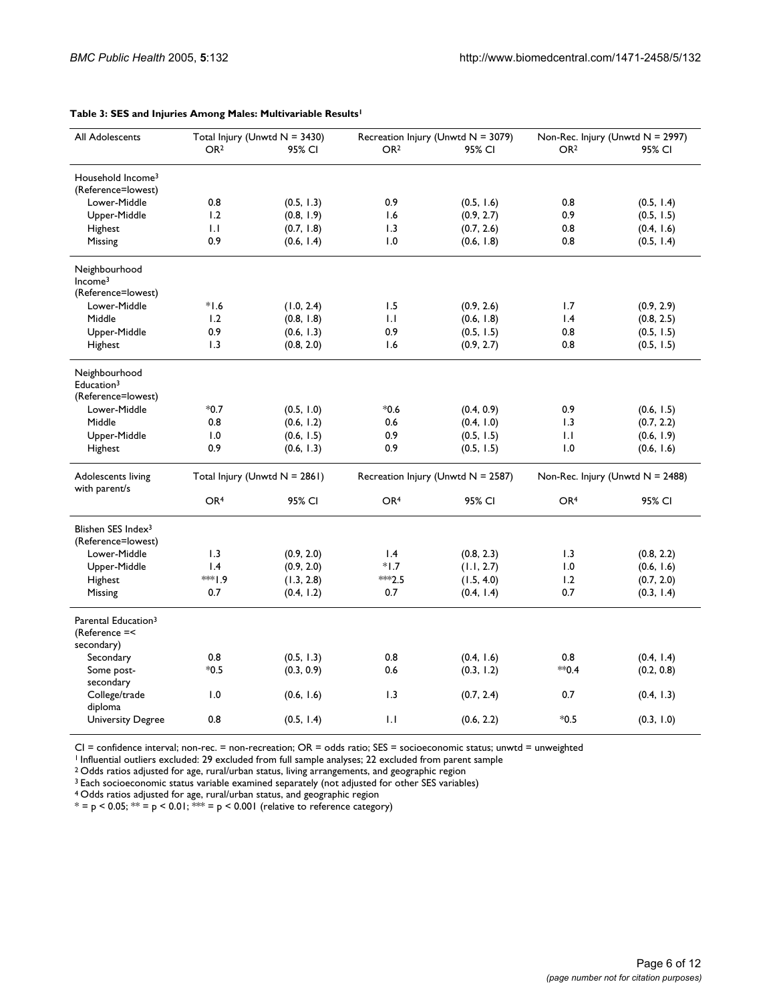| All Adolescents                                                | Total Injury (Unwtd $N = 3430$ ) |                                  | Recreation Injury (Unwtd N = 3079) |                                       | Non-Rec. Injury (Unwtd N = 2997) |                                     |
|----------------------------------------------------------------|----------------------------------|----------------------------------|------------------------------------|---------------------------------------|----------------------------------|-------------------------------------|
|                                                                | OR <sub>2</sub>                  | 95% CI                           | OR <sub>2</sub>                    | 95% CI                                | OR <sub>2</sub>                  | 95% CI                              |
| Household Income <sup>3</sup>                                  |                                  |                                  |                                    |                                       |                                  |                                     |
| (Reference=lowest)                                             |                                  |                                  |                                    |                                       |                                  |                                     |
| Lower-Middle                                                   | 0.8                              | (0.5, 1.3)                       | 0.9                                | (0.5, 1.6)                            | 0.8                              | (0.5, 1.4)                          |
| Upper-Middle                                                   | 1.2                              | (0.8, 1.9)                       | 1.6                                | (0.9, 2.7)                            | 0.9                              | (0.5, 1.5)                          |
| Highest                                                        | 1.1                              | (0.7, 1.8)                       | 1.3                                | (0.7, 2.6)                            | 0.8                              | (0.4, 1.6)                          |
| Missing                                                        | 0.9                              | (0.6, 1.4)                       | 1.0                                | (0.6, 1.8)                            | 0.8                              | (0.5, 1.4)                          |
| Neighbourhood<br>Income <sup>3</sup>                           |                                  |                                  |                                    |                                       |                                  |                                     |
| (Reference=lowest)                                             |                                  |                                  |                                    |                                       |                                  |                                     |
| Lower-Middle                                                   | $*1.6$                           | (1.0, 2.4)                       | 1.5                                | (0.9, 2.6)                            | 1.7                              | (0.9, 2.9)                          |
| Middle                                                         | 1.2                              | (0.8, 1.8)                       | 1.1                                | (0.6, 1.8)                            | 1.4                              | (0.8, 2.5)                          |
| Upper-Middle                                                   | 0.9                              | (0.6, 1.3)                       | 0.9                                | (0.5, 1.5)                            | 0.8                              | (0.5, 1.5)                          |
| Highest                                                        | 1.3                              | (0.8, 2.0)                       | 1.6                                | (0.9, 2.7)                            | 0.8                              | (0.5, 1.5)                          |
| Neighbourhood<br>Education <sup>3</sup><br>(Reference=lowest)  |                                  |                                  |                                    |                                       |                                  |                                     |
| Lower-Middle                                                   | $*0.7$                           | (0.5, 1.0)                       | $*0.6$                             | (0.4, 0.9)                            | 0.9                              | (0.6, 1.5)                          |
| Middle                                                         |                                  |                                  |                                    |                                       |                                  |                                     |
|                                                                | 0.8                              | (0.6, 1.2)                       | 0.6                                | (0.4, 1.0)                            | 1.3                              | (0.7, 2.2)                          |
| Upper-Middle                                                   | 1.0                              | (0.6, 1.5)                       | 0.9                                | (0.5, 1.5)                            | 1.1                              | (0.6, 1.9)                          |
| Highest                                                        | 0.9                              | (0.6, 1.3)                       | 0.9                                | (0.5, 1.5)                            | 1.0                              | (0.6, 1.6)                          |
| Adolescents living<br>with parent/s                            |                                  | Total Injury (Unwtd $N = 2861$ ) |                                    | Recreation Injury (Unwtd $N = 2587$ ) |                                  | Non-Rec. Injury (Unwtd $N = 2488$ ) |
|                                                                | OR <sup>4</sup>                  | 95% CI                           | OR <sup>4</sup>                    | 95% CI                                | OR <sup>4</sup>                  | 95% CI                              |
| Blishen SES Index <sup>3</sup><br>(Reference=lowest)           |                                  |                                  |                                    |                                       |                                  |                                     |
| Lower-Middle                                                   | 1.3                              | (0.9, 2.0)                       | $\mathsf{I}$ .4                    | (0.8, 2.3)                            | 1.3                              | (0.8, 2.2)                          |
| Upper-Middle                                                   | 1.4                              | (0.9, 2.0)                       | $*1.7$                             | (1.1, 2.7)                            | 1.0                              | (0.6, 1.6)                          |
| Highest                                                        | 1.9∜∻≈                           | (1.3, 2.8)                       | ***2.5                             | (1.5, 4.0)                            | 1.2                              | (0.7, 2.0)                          |
| Missing                                                        | 0.7                              | (0.4, 1.2)                       | 0.7                                | (0.4, 1.4)                            | 0.7                              | (0.3, 1.4)                          |
| Parental Education <sup>3</sup><br>(Reference =<<br>secondary) |                                  |                                  |                                    |                                       |                                  |                                     |
| Secondary                                                      | 0.8                              | (0.5, 1.3)                       | 0.8                                | (0.4, 1.6)                            | 0.8                              | (0.4, 1.4)                          |
| Some post-                                                     | $*0.5$                           | (0.3, 0.9)                       | 0.6                                | (0.3, 1.2)                            | $*$ 0.4                          | (0.2, 0.8)                          |
| secondary                                                      |                                  |                                  |                                    |                                       |                                  |                                     |
| College/trade<br>diploma                                       | 1.0                              | (0.6, 1.6)                       | 1.3                                | (0.7, 2.4)                            | 0.7                              | (0.4, 1.3)                          |
| <b>University Degree</b>                                       | 0.8                              | (0.5, 1.4)                       | 1.1                                | (0.6, 2.2)                            | $*0.5$                           | (0.3, 1.0)                          |

#### **Table 3: SES and Injuries Among Males: Multivariable Results1**

CI = confidence interval; non-rec. = non-recreation; OR = odds ratio; SES = socioeconomic status; unwtd = unweighted

<sup>1</sup> Influential outliers excluded: 29 excluded from full sample analyses; 22 excluded from parent sample

 $^{\rm 2}$  Odds ratios adjusted for age, rural/urban status, living arrangements, and geographic region

 $^3$  Each socioeconomic status variable examined separately (not adjusted for other SES variables)

<sup>4</sup> Odds ratios adjusted for age, rural/urban status, and geographic region

 $^*$  = p < 0.05;  $^{**}$  = p < 0.01;  $^{***}$  = p < 0.001 (relative to reference category)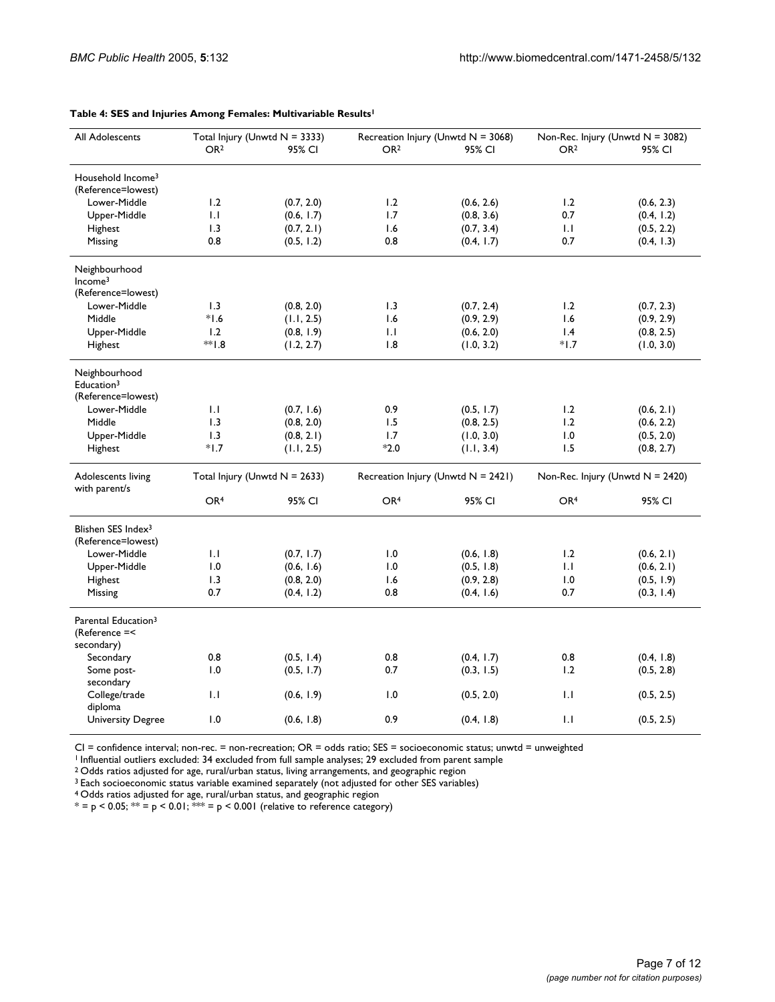| All Adolescents                                  | Total Injury (Unwtd $N = 3333$ ) |                               | Recreation Injury (Unwtd N = 3068) |                                       | Non-Rec. Injury (Unwtd $N = 3082$ ) |                                     |
|--------------------------------------------------|----------------------------------|-------------------------------|------------------------------------|---------------------------------------|-------------------------------------|-------------------------------------|
|                                                  | OR <sub>2</sub>                  | 95% CI                        | OR <sub>2</sub>                    | 95% CI                                | OR <sub>2</sub>                     | 95% CI                              |
| Household Income <sup>3</sup>                    |                                  |                               |                                    |                                       |                                     |                                     |
| (Reference=lowest)                               |                                  |                               |                                    |                                       |                                     |                                     |
| Lower-Middle                                     | 1.2                              | (0.7, 2.0)                    | 1.2                                | (0.6, 2.6)                            | 1.2                                 | (0.6, 2.3)                          |
| Upper-Middle                                     | 1.1                              | (0.6, 1.7)                    | 1.7                                | (0.8, 3.6)                            | 0.7                                 | (0.4, 1.2)                          |
| Highest                                          | 1.3                              | (0.7, 2.1)                    | 1.6                                | (0.7, 3.4)                            | 1.1                                 | (0.5, 2.2)                          |
| Missing                                          | 0.8                              | (0.5, 1.2)                    | 0.8                                | (0.4, 1.7)                            | 0.7                                 | (0.4, 1.3)                          |
|                                                  |                                  |                               |                                    |                                       |                                     |                                     |
| Neighbourhood                                    |                                  |                               |                                    |                                       |                                     |                                     |
| Income <sup>3</sup>                              |                                  |                               |                                    |                                       |                                     |                                     |
| (Reference=lowest)<br>Lower-Middle               |                                  |                               |                                    |                                       |                                     |                                     |
|                                                  | 1.3                              | (0.8, 2.0)                    | 1.3                                | (0.7, 2.4)                            | 1.2                                 | (0.7, 2.3)                          |
| Middle                                           | $*1.6$                           | (1.1, 2.5)                    | 1.6                                | (0.9, 2.9)                            | 1.6                                 | (0.9, 2.9)                          |
| Upper-Middle                                     | 1.2                              | (0.8, 1.9)                    | 1.1                                | (0.6, 2.0)                            | 1.4                                 | (0.8, 2.5)                          |
| Highest                                          | **1.8                            | (1.2, 2.7)                    | 1.8                                | (1.0, 3.2)                            | $*1.7$                              | (1.0, 3.0)                          |
| Neighbourhood<br>Education <sup>3</sup>          |                                  |                               |                                    |                                       |                                     |                                     |
| (Reference=lowest)                               |                                  |                               |                                    |                                       |                                     |                                     |
| Lower-Middle                                     | 1.1                              | (0.7, 1.6)                    | 0.9                                | (0.5, 1.7)                            | 1.2                                 | (0.6, 2.1)                          |
| Middle                                           | 1.3                              | (0.8, 2.0)                    | 1.5                                | (0.8, 2.5)                            | 1.2                                 | (0.6, 2.2)                          |
| Upper-Middle                                     | 1.3                              | (0.8, 2.1)                    | 1.7                                | (1.0, 3.0)                            | 1.0                                 | (0.5, 2.0)                          |
| Highest                                          | $*1.7$                           | (1.1, 2.5)                    | $*2.0$                             | (1.1, 3.4)                            | 1.5                                 | (0.8, 2.7)                          |
| Adolescents living<br>with parent/s              |                                  | Total Injury (Unwtd N = 2633) |                                    | Recreation Injury (Unwtd $N = 2421$ ) |                                     | Non-Rec. Injury (Unwtd $N = 2420$ ) |
|                                                  | OR <sup>4</sup>                  | 95% CI                        | OR <sup>4</sup>                    | 95% CI                                | OR <sup>4</sup>                     | 95% CI                              |
| Blishen SES Index <sup>3</sup>                   |                                  |                               |                                    |                                       |                                     |                                     |
| (Reference=lowest)                               |                                  |                               |                                    |                                       |                                     |                                     |
| Lower-Middle                                     | 1.1                              | (0.7, 1.7)                    | 1.0                                | (0.6, 1.8)                            | 1.2                                 | (0.6, 2.1)                          |
| Upper-Middle                                     | 1.0                              | (0.6, 1.6)                    | 1.0                                | (0.5, 1.8)                            | 1.1                                 | (0.6, 2.1)                          |
| Highest                                          | 1.3                              | (0.8, 2.0)                    | 1.6                                | (0.9, 2.8)                            | 1.0                                 | (0.5, 1.9)                          |
| Missing                                          | 0.7                              | (0.4, 1.2)                    | 0.8                                | (0.4, 1.6)                            | 0.7                                 | (0.3, 1.4)                          |
|                                                  |                                  |                               |                                    |                                       |                                     |                                     |
| Parental Education <sup>3</sup><br>(Reference =< |                                  |                               |                                    |                                       |                                     |                                     |
| secondary)                                       |                                  |                               |                                    |                                       |                                     |                                     |
| Secondary                                        | 0.8                              | (0.5, 1.4)                    | 0.8                                | (0.4, 1.7)                            | 0.8                                 | (0.4, 1.8)                          |
| Some post-                                       | 1.0                              | (0.5, 1.7)                    | 0.7                                | (0.3, 1.5)                            | 1.2                                 | (0.5, 2.8)                          |
| secondary                                        |                                  |                               |                                    |                                       |                                     |                                     |
| College/trade                                    | 1.1                              | (0.6, 1.9)                    | 1.0                                | (0.5, 2.0)                            | 1.1                                 | (0.5, 2.5)                          |
| diploma                                          |                                  |                               |                                    |                                       |                                     |                                     |
| <b>University Degree</b>                         | 1.0                              | (0.6, 1.8)                    | 0.9                                | (0.4, 1.8)                            | 1.1                                 | (0.5, 2.5)                          |

#### **Table 4: SES and Injuries Among Females: Multivariable Results1**

CI = confidence interval; non-rec. = non-recreation; OR = odds ratio; SES = socioeconomic status; unwtd = unweighted

1 Influential outliers excluded: 34 excluded from full sample analyses; 29 excluded from parent sample

 $^{\rm 2}$  Odds ratios adjusted for age, rural/urban status, living arrangements, and geographic region

 $^3$  Each socioeconomic status variable examined separately (not adjusted for other SES variables)

<sup>4</sup> Odds ratios adjusted for age, rural/urban status, and geographic region

 $^*$  = p < 0.05;  $^{**}$  = p < 0.01;  $^{***}$  = p < 0.001 (relative to reference category)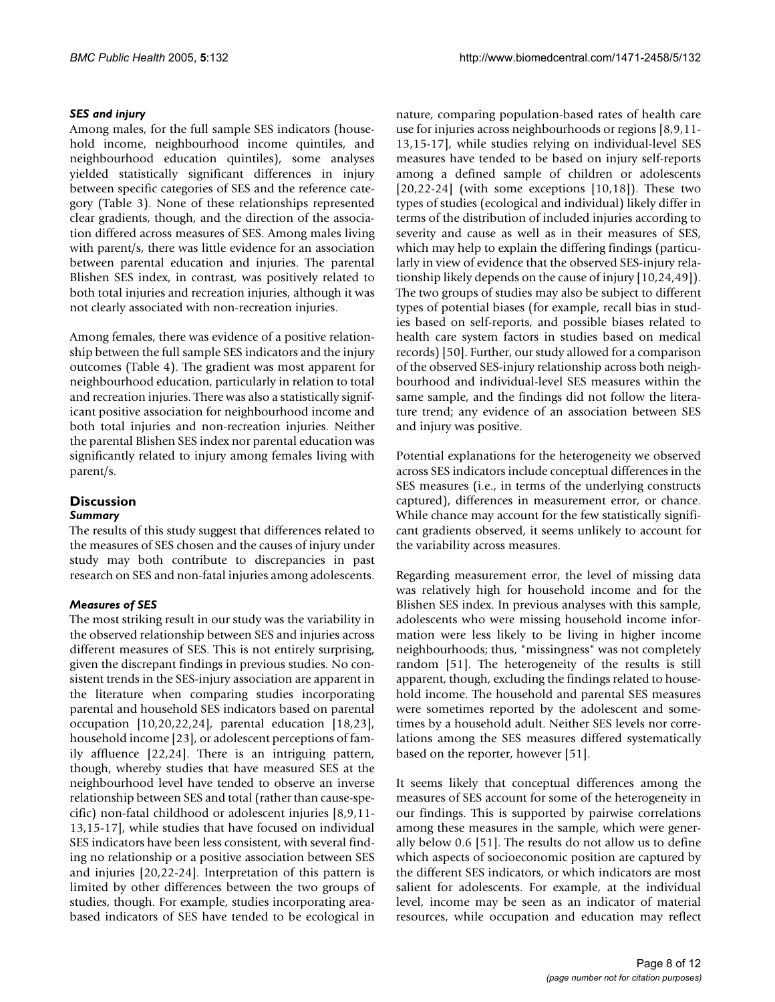# *SES and injury*

Among males, for the full sample SES indicators (household income, neighbourhood income quintiles, and neighbourhood education quintiles), some analyses yielded statistically significant differences in injury between specific categories of SES and the reference category (Table 3). None of these relationships represented clear gradients, though, and the direction of the association differed across measures of SES. Among males living with parent/s, there was little evidence for an association between parental education and injuries. The parental Blishen SES index, in contrast, was positively related to both total injuries and recreation injuries, although it was not clearly associated with non-recreation injuries.

Among females, there was evidence of a positive relationship between the full sample SES indicators and the injury outcomes (Table 4). The gradient was most apparent for neighbourhood education, particularly in relation to total and recreation injuries. There was also a statistically significant positive association for neighbourhood income and both total injuries and non-recreation injuries. Neither the parental Blishen SES index nor parental education was significantly related to injury among females living with parent/s.

### **Discussion** *Summary*

The results of this study suggest that differences related to the measures of SES chosen and the causes of injury under study may both contribute to discrepancies in past research on SES and non-fatal injuries among adolescents.

# *Measures of SES*

The most striking result in our study was the variability in the observed relationship between SES and injuries across different measures of SES. This is not entirely surprising, given the discrepant findings in previous studies. No consistent trends in the SES-injury association are apparent in the literature when comparing studies incorporating parental and household SES indicators based on parental occupation [10,20,22,24], parental education [18,23], household income [23], or adolescent perceptions of family affluence [22,24]. There is an intriguing pattern, though, whereby studies that have measured SES at the neighbourhood level have tended to observe an inverse relationship between SES and total (rather than cause-specific) non-fatal childhood or adolescent injuries [8,9,11- 13,15-17], while studies that have focused on individual SES indicators have been less consistent, with several finding no relationship or a positive association between SES and injuries [20,22-24]. Interpretation of this pattern is limited by other differences between the two groups of studies, though. For example, studies incorporating areabased indicators of SES have tended to be ecological in

nature, comparing population-based rates of health care use for injuries across neighbourhoods or regions [8,9,11- 13,15-17], while studies relying on individual-level SES measures have tended to be based on injury self-reports among a defined sample of children or adolescents  $[20,22-24]$  (with some exceptions  $[10,18]$ ). These two types of studies (ecological and individual) likely differ in terms of the distribution of included injuries according to severity and cause as well as in their measures of SES, which may help to explain the differing findings (particularly in view of evidence that the observed SES-injury relationship likely depends on the cause of injury [10,24,49]). The two groups of studies may also be subject to different types of potential biases (for example, recall bias in studies based on self-reports, and possible biases related to health care system factors in studies based on medical records) [50]. Further, our study allowed for a comparison of the observed SES-injury relationship across both neighbourhood and individual-level SES measures within the same sample, and the findings did not follow the literature trend; any evidence of an association between SES and injury was positive.

Potential explanations for the heterogeneity we observed across SES indicators include conceptual differences in the SES measures (i.e., in terms of the underlying constructs captured), differences in measurement error, or chance. While chance may account for the few statistically significant gradients observed, it seems unlikely to account for the variability across measures.

Regarding measurement error, the level of missing data was relatively high for household income and for the Blishen SES index. In previous analyses with this sample, adolescents who were missing household income information were less likely to be living in higher income neighbourhoods; thus, "missingness" was not completely random [51]. The heterogeneity of the results is still apparent, though, excluding the findings related to household income. The household and parental SES measures were sometimes reported by the adolescent and sometimes by a household adult. Neither SES levels nor correlations among the SES measures differed systematically based on the reporter, however [51].

It seems likely that conceptual differences among the measures of SES account for some of the heterogeneity in our findings. This is supported by pairwise correlations among these measures in the sample, which were generally below 0.6 [51]. The results do not allow us to define which aspects of socioeconomic position are captured by the different SES indicators, or which indicators are most salient for adolescents. For example, at the individual level, income may be seen as an indicator of material resources, while occupation and education may reflect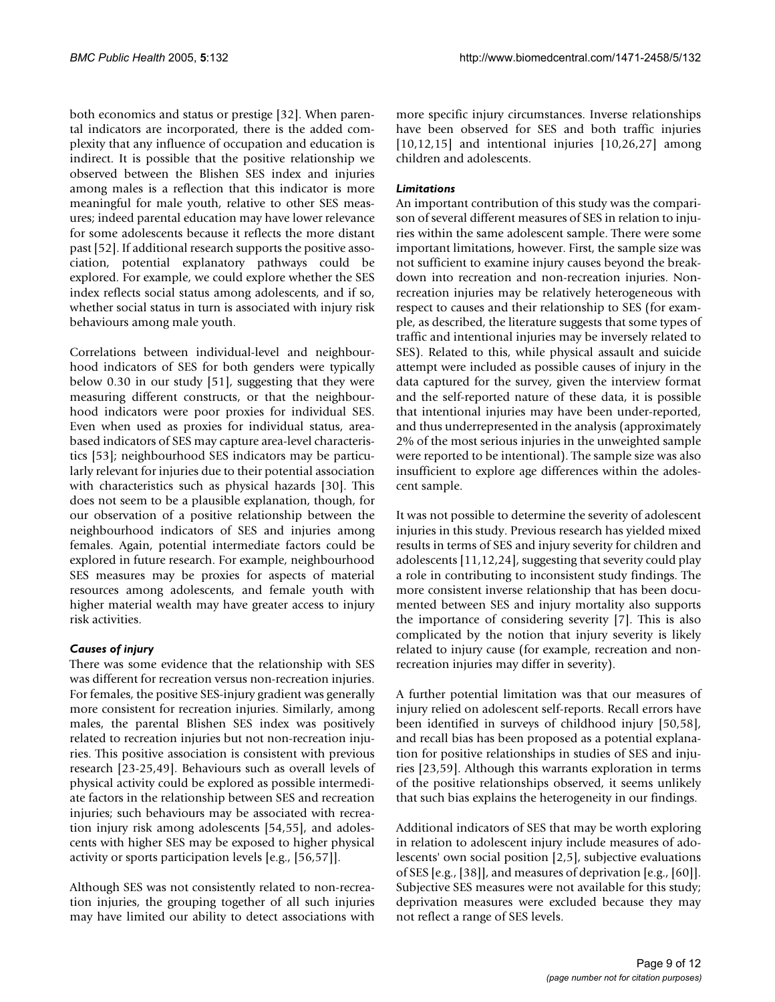both economics and status or prestige [32]. When parental indicators are incorporated, there is the added complexity that any influence of occupation and education is indirect. It is possible that the positive relationship we observed between the Blishen SES index and injuries among males is a reflection that this indicator is more meaningful for male youth, relative to other SES measures; indeed parental education may have lower relevance for some adolescents because it reflects the more distant past [52]. If additional research supports the positive association, potential explanatory pathways could be explored. For example, we could explore whether the SES index reflects social status among adolescents, and if so, whether social status in turn is associated with injury risk behaviours among male youth.

Correlations between individual-level and neighbourhood indicators of SES for both genders were typically below 0.30 in our study [51], suggesting that they were measuring different constructs, or that the neighbourhood indicators were poor proxies for individual SES. Even when used as proxies for individual status, areabased indicators of SES may capture area-level characteristics [53]; neighbourhood SES indicators may be particularly relevant for injuries due to their potential association with characteristics such as physical hazards [30]. This does not seem to be a plausible explanation, though, for our observation of a positive relationship between the neighbourhood indicators of SES and injuries among females. Again, potential intermediate factors could be explored in future research. For example, neighbourhood SES measures may be proxies for aspects of material resources among adolescents, and female youth with higher material wealth may have greater access to injury risk activities.

# *Causes of injury*

There was some evidence that the relationship with SES was different for recreation versus non-recreation injuries. For females, the positive SES-injury gradient was generally more consistent for recreation injuries. Similarly, among males, the parental Blishen SES index was positively related to recreation injuries but not non-recreation injuries. This positive association is consistent with previous research [23-25,49]. Behaviours such as overall levels of physical activity could be explored as possible intermediate factors in the relationship between SES and recreation injuries; such behaviours may be associated with recreation injury risk among adolescents [54,55], and adolescents with higher SES may be exposed to higher physical activity or sports participation levels [e.g., [56,57]].

Although SES was not consistently related to non-recreation injuries, the grouping together of all such injuries may have limited our ability to detect associations with

more specific injury circumstances. Inverse relationships have been observed for SES and both traffic injuries [10,12,15] and intentional injuries [10,26,27] among children and adolescents.

# *Limitations*

An important contribution of this study was the comparison of several different measures of SES in relation to injuries within the same adolescent sample. There were some important limitations, however. First, the sample size was not sufficient to examine injury causes beyond the breakdown into recreation and non-recreation injuries. Nonrecreation injuries may be relatively heterogeneous with respect to causes and their relationship to SES (for example, as described, the literature suggests that some types of traffic and intentional injuries may be inversely related to SES). Related to this, while physical assault and suicide attempt were included as possible causes of injury in the data captured for the survey, given the interview format and the self-reported nature of these data, it is possible that intentional injuries may have been under-reported, and thus underrepresented in the analysis (approximately 2% of the most serious injuries in the unweighted sample were reported to be intentional). The sample size was also insufficient to explore age differences within the adolescent sample.

It was not possible to determine the severity of adolescent injuries in this study. Previous research has yielded mixed results in terms of SES and injury severity for children and adolescents [11,12,24], suggesting that severity could play a role in contributing to inconsistent study findings. The more consistent inverse relationship that has been documented between SES and injury mortality also supports the importance of considering severity [7]. This is also complicated by the notion that injury severity is likely related to injury cause (for example, recreation and nonrecreation injuries may differ in severity).

A further potential limitation was that our measures of injury relied on adolescent self-reports. Recall errors have been identified in surveys of childhood injury [50,58], and recall bias has been proposed as a potential explanation for positive relationships in studies of SES and injuries [23,59]. Although this warrants exploration in terms of the positive relationships observed, it seems unlikely that such bias explains the heterogeneity in our findings.

Additional indicators of SES that may be worth exploring in relation to adolescent injury include measures of adolescents' own social position [2,5], subjective evaluations of SES [e.g., [38]], and measures of deprivation [e.g., [60]]. Subjective SES measures were not available for this study; deprivation measures were excluded because they may not reflect a range of SES levels.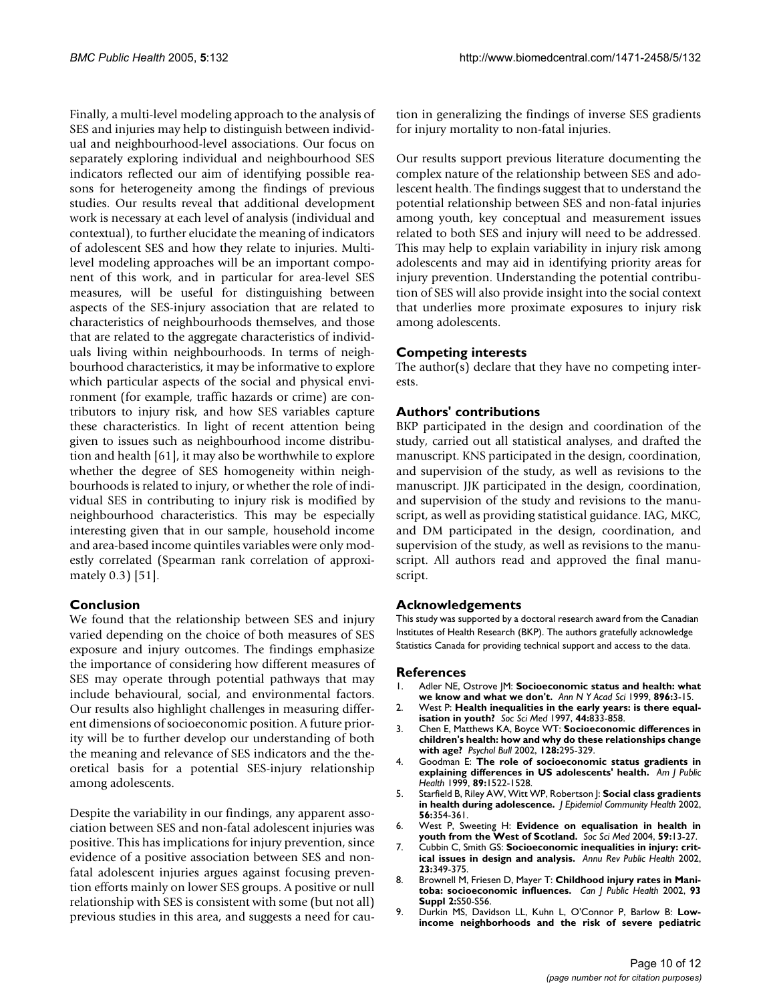Finally, a multi-level modeling approach to the analysis of SES and injuries may help to distinguish between individual and neighbourhood-level associations. Our focus on separately exploring individual and neighbourhood SES indicators reflected our aim of identifying possible reasons for heterogeneity among the findings of previous studies. Our results reveal that additional development work is necessary at each level of analysis (individual and contextual), to further elucidate the meaning of indicators of adolescent SES and how they relate to injuries. Multilevel modeling approaches will be an important component of this work, and in particular for area-level SES measures, will be useful for distinguishing between aspects of the SES-injury association that are related to characteristics of neighbourhoods themselves, and those that are related to the aggregate characteristics of individuals living within neighbourhoods. In terms of neighbourhood characteristics, it may be informative to explore which particular aspects of the social and physical environment (for example, traffic hazards or crime) are contributors to injury risk, and how SES variables capture these characteristics. In light of recent attention being given to issues such as neighbourhood income distribution and health [61], it may also be worthwhile to explore whether the degree of SES homogeneity within neighbourhoods is related to injury, or whether the role of individual SES in contributing to injury risk is modified by neighbourhood characteristics. This may be especially interesting given that in our sample, household income and area-based income quintiles variables were only modestly correlated (Spearman rank correlation of approximately 0.3) [51].

# **Conclusion**

We found that the relationship between SES and injury varied depending on the choice of both measures of SES exposure and injury outcomes. The findings emphasize the importance of considering how different measures of SES may operate through potential pathways that may include behavioural, social, and environmental factors. Our results also highlight challenges in measuring different dimensions of socioeconomic position. A future priority will be to further develop our understanding of both the meaning and relevance of SES indicators and the theoretical basis for a potential SES-injury relationship among adolescents.

Despite the variability in our findings, any apparent association between SES and non-fatal adolescent injuries was positive. This has implications for injury prevention, since evidence of a positive association between SES and nonfatal adolescent injuries argues against focusing prevention efforts mainly on lower SES groups. A positive or null relationship with SES is consistent with some (but not all) previous studies in this area, and suggests a need for caution in generalizing the findings of inverse SES gradients for injury mortality to non-fatal injuries.

Our results support previous literature documenting the complex nature of the relationship between SES and adolescent health. The findings suggest that to understand the potential relationship between SES and non-fatal injuries among youth, key conceptual and measurement issues related to both SES and injury will need to be addressed. This may help to explain variability in injury risk among adolescents and may aid in identifying priority areas for injury prevention. Understanding the potential contribution of SES will also provide insight into the social context that underlies more proximate exposures to injury risk among adolescents.

# **Competing interests**

The author(s) declare that they have no competing interests.

# **Authors' contributions**

BKP participated in the design and coordination of the study, carried out all statistical analyses, and drafted the manuscript. KNS participated in the design, coordination, and supervision of the study, as well as revisions to the manuscript. JJK participated in the design, coordination, and supervision of the study and revisions to the manuscript, as well as providing statistical guidance. IAG, MKC, and DM participated in the design, coordination, and supervision of the study, as well as revisions to the manuscript. All authors read and approved the final manuscript.

# **Acknowledgements**

This study was supported by a doctoral research award from the Canadian Institutes of Health Research (BKP). The authors gratefully acknowledge Statistics Canada for providing technical support and access to the data.

### **References**

- 1. Adler NE, Ostrove JM: **[Socioeconomic status and health: what](http://www.ncbi.nlm.nih.gov/entrez/query.fcgi?cmd=Retrieve&db=PubMed&dopt=Abstract&list_uids=10681884) [we know and what we don't.](http://www.ncbi.nlm.nih.gov/entrez/query.fcgi?cmd=Retrieve&db=PubMed&dopt=Abstract&list_uids=10681884)** *Ann N Y Acad Sci* 1999, **896:**3-15.
- 2. West P: **[Health inequalities in the early years: is there equal](http://www.ncbi.nlm.nih.gov/entrez/query.fcgi?cmd=Retrieve&db=PubMed&dopt=Abstract&list_uids=9080566)[isation in youth?](http://www.ncbi.nlm.nih.gov/entrez/query.fcgi?cmd=Retrieve&db=PubMed&dopt=Abstract&list_uids=9080566)** *Soc Sci Med* 1997, **44:**833-858.
- 3. Chen E, Matthews KA, Boyce WT: **[Socioeconomic differences in](http://www.ncbi.nlm.nih.gov/entrez/query.fcgi?cmd=Retrieve&db=PubMed&dopt=Abstract&list_uids=11931521) [children's health: how and why do these relationships change](http://www.ncbi.nlm.nih.gov/entrez/query.fcgi?cmd=Retrieve&db=PubMed&dopt=Abstract&list_uids=11931521) [with age?](http://www.ncbi.nlm.nih.gov/entrez/query.fcgi?cmd=Retrieve&db=PubMed&dopt=Abstract&list_uids=11931521)** *Psychol Bull* 2002, **128:**295-329.
- 4. Goodman E: **[The role of socioeconomic status gradients in](http://www.ncbi.nlm.nih.gov/entrez/query.fcgi?cmd=Retrieve&db=PubMed&dopt=Abstract&list_uids=10511834) [explaining differences in US adolescents' health.](http://www.ncbi.nlm.nih.gov/entrez/query.fcgi?cmd=Retrieve&db=PubMed&dopt=Abstract&list_uids=10511834)** *Am J Public Health* 1999, **89:**1522-1528.
- 5. Starfield B, Riley AW, Witt WP, Robertson J: **[Social class gradients](http://www.ncbi.nlm.nih.gov/entrez/query.fcgi?cmd=Retrieve&db=PubMed&dopt=Abstract&list_uids=11964432) [in health during adolescence.](http://www.ncbi.nlm.nih.gov/entrez/query.fcgi?cmd=Retrieve&db=PubMed&dopt=Abstract&list_uids=11964432)** *J Epidemiol Community Health* 2002, **56:**354-361.
- 6. West P, Sweeting H: **[Evidence on equalisation in health in](http://www.ncbi.nlm.nih.gov/entrez/query.fcgi?cmd=Retrieve&db=PubMed&dopt=Abstract&list_uids=15087139) [youth from the West of Scotland.](http://www.ncbi.nlm.nih.gov/entrez/query.fcgi?cmd=Retrieve&db=PubMed&dopt=Abstract&list_uids=15087139)** *Soc Sci Med* 2004, **59:**13-27.
- 7. Cubbin C, Smith GS: **[Socioeconomic inequalities in injury: crit](http://www.ncbi.nlm.nih.gov/entrez/query.fcgi?cmd=Retrieve&db=PubMed&dopt=Abstract&list_uids=11910067)[ical issues in design and analysis.](http://www.ncbi.nlm.nih.gov/entrez/query.fcgi?cmd=Retrieve&db=PubMed&dopt=Abstract&list_uids=11910067)** *Annu Rev Public Health* 2002, **23:**349-375.
- 8. Brownell M, Friesen D, Mayer T: **[Childhood injury rates in Mani](http://www.ncbi.nlm.nih.gov/entrez/query.fcgi?cmd=Retrieve&db=PubMed&dopt=Abstract&list_uids=12580391)[toba: socioeconomic influences.](http://www.ncbi.nlm.nih.gov/entrez/query.fcgi?cmd=Retrieve&db=PubMed&dopt=Abstract&list_uids=12580391)** *Can J Public Health* 2002, **93 Suppl 2:**S50-S56.
- 9. Durkin MS, Davidson LL, Kuhn L, O'Connor P, Barlow B: **[Low](http://www.ncbi.nlm.nih.gov/entrez/query.fcgi?cmd=Retrieve&db=PubMed&dopt=Abstract&list_uids=8154561)[income neighborhoods and the risk of severe pediatric](http://www.ncbi.nlm.nih.gov/entrez/query.fcgi?cmd=Retrieve&db=PubMed&dopt=Abstract&list_uids=8154561)**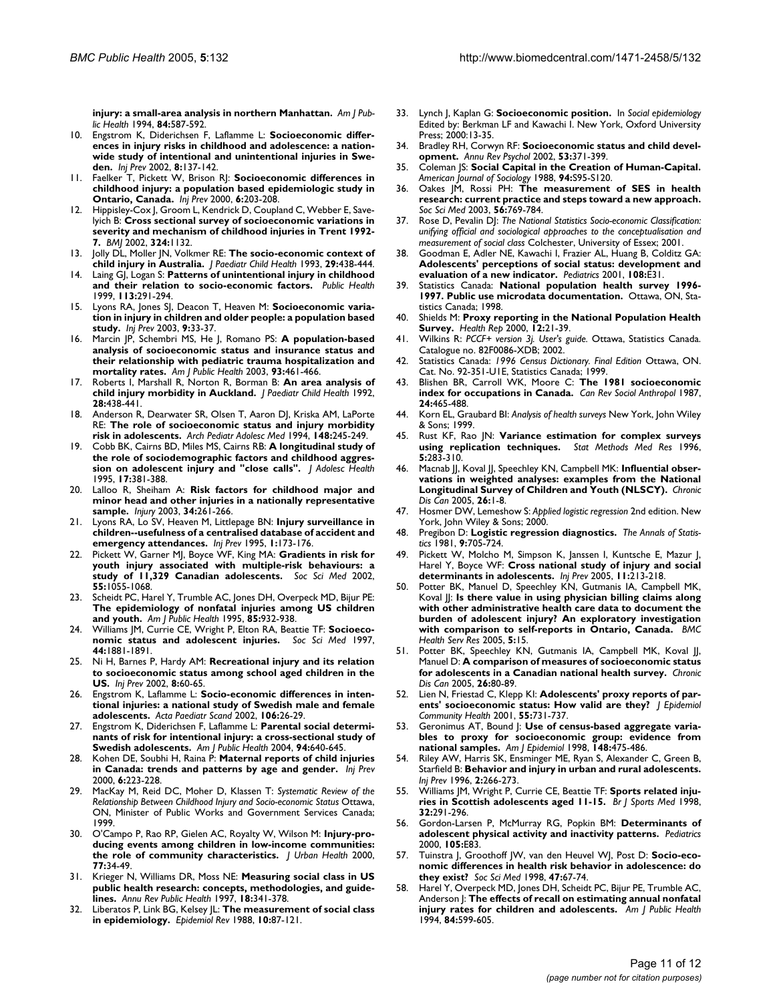**[injury: a small-area analysis in northern Manhattan.](http://www.ncbi.nlm.nih.gov/entrez/query.fcgi?cmd=Retrieve&db=PubMed&dopt=Abstract&list_uids=8154561)** *Am J Public Health* 1994, **84:**587-592.

- 10. Engstrom K, Diderichsen F, Laflamme L: **[Socioeconomic differ](http://www.ncbi.nlm.nih.gov/entrez/query.fcgi?cmd=Retrieve&db=PubMed&dopt=Abstract&list_uids=12120833)ences in injury risks in childhood and adolescence: a nation[wide study of intentional and unintentional injuries in Swe](http://www.ncbi.nlm.nih.gov/entrez/query.fcgi?cmd=Retrieve&db=PubMed&dopt=Abstract&list_uids=12120833)[den.](http://www.ncbi.nlm.nih.gov/entrez/query.fcgi?cmd=Retrieve&db=PubMed&dopt=Abstract&list_uids=12120833)** *Inj Prev* 2002, **8:**137-142.
- 11. Faelker T, Pickett W, Brison RJ: **[Socioeconomic differences in](http://www.ncbi.nlm.nih.gov/entrez/query.fcgi?cmd=Retrieve&db=PubMed&dopt=Abstract&list_uids=11003186) [childhood injury: a population based epidemiologic study in](http://www.ncbi.nlm.nih.gov/entrez/query.fcgi?cmd=Retrieve&db=PubMed&dopt=Abstract&list_uids=11003186) [Ontario, Canada.](http://www.ncbi.nlm.nih.gov/entrez/query.fcgi?cmd=Retrieve&db=PubMed&dopt=Abstract&list_uids=11003186)** *Inj Prev* 2000, **6:**203-208.
- 12. Hippisley-Cox J, Groom L, Kendrick D, Coupland C, Webber E, Savelyich B: **[Cross sectional survey of socioeconomic variations in](http://www.ncbi.nlm.nih.gov/entrez/query.fcgi?cmd=Retrieve&db=PubMed&dopt=Abstract&list_uids=12003886) [severity and mechanism of childhood injuries in Trent 1992-](http://www.ncbi.nlm.nih.gov/entrez/query.fcgi?cmd=Retrieve&db=PubMed&dopt=Abstract&list_uids=12003886) [7.](http://www.ncbi.nlm.nih.gov/entrez/query.fcgi?cmd=Retrieve&db=PubMed&dopt=Abstract&list_uids=12003886)** *BMJ* 2002, **324:**1132.
- 13. Jolly DL, Moller JN, Volkmer RE: **[The socio-economic context of](http://www.ncbi.nlm.nih.gov/entrez/query.fcgi?cmd=Retrieve&db=PubMed&dopt=Abstract&list_uids=8286160) [child injury in Australia.](http://www.ncbi.nlm.nih.gov/entrez/query.fcgi?cmd=Retrieve&db=PubMed&dopt=Abstract&list_uids=8286160)** *J Paediatr Child Health* 1993, **29:**438-444.
- 14. Laing GJ, Logan S: **[Patterns of unintentional injury in childhood](http://www.ncbi.nlm.nih.gov/entrez/query.fcgi?cmd=Retrieve&db=PubMed&dopt=Abstract&list_uids=10637521) [and their relation to socio-economic factors.](http://www.ncbi.nlm.nih.gov/entrez/query.fcgi?cmd=Retrieve&db=PubMed&dopt=Abstract&list_uids=10637521)** *Public Health* 1999, **113:**291-294.
- 15. Lyons RA, Jones SJ, Deacon T, Heaven M: **[Socioeconomic varia](http://www.ncbi.nlm.nih.gov/entrez/query.fcgi?cmd=Retrieve&db=PubMed&dopt=Abstract&list_uids=12642556)[tion in injury in children and older people: a population based](http://www.ncbi.nlm.nih.gov/entrez/query.fcgi?cmd=Retrieve&db=PubMed&dopt=Abstract&list_uids=12642556) [study.](http://www.ncbi.nlm.nih.gov/entrez/query.fcgi?cmd=Retrieve&db=PubMed&dopt=Abstract&list_uids=12642556)** *Inj Prev* 2003, **9:**33-37.
- 16. Marcin JP, Schembri MS, He J, Romano PS: **[A population-based](http://www.ncbi.nlm.nih.gov/entrez/query.fcgi?cmd=Retrieve&db=PubMed&dopt=Abstract&list_uids=12604496) analysis of socioeconomic status and insurance status and [their relationship with pediatric trauma hospitalization and](http://www.ncbi.nlm.nih.gov/entrez/query.fcgi?cmd=Retrieve&db=PubMed&dopt=Abstract&list_uids=12604496) [mortality rates.](http://www.ncbi.nlm.nih.gov/entrez/query.fcgi?cmd=Retrieve&db=PubMed&dopt=Abstract&list_uids=12604496)** *Am J Public Health* 2003, **93:**461-466.
- 17. Roberts I, Marshall R, Norton R, Borman B: **[An area analysis of](http://www.ncbi.nlm.nih.gov/entrez/query.fcgi?cmd=Retrieve&db=PubMed&dopt=Abstract&list_uids=1466939) [child injury morbidity in Auckland.](http://www.ncbi.nlm.nih.gov/entrez/query.fcgi?cmd=Retrieve&db=PubMed&dopt=Abstract&list_uids=1466939)** *J Paediatr Child Health* 1992, **28:**438-441.
- 18. Anderson R, Dearwater SR, Olsen T, Aaron DJ, Kriska AM, LaPorte RE: **[The role of socioeconomic status and injury morbidity](http://www.ncbi.nlm.nih.gov/entrez/query.fcgi?cmd=Retrieve&db=PubMed&dopt=Abstract&list_uids=8130854) [risk in adolescents.](http://www.ncbi.nlm.nih.gov/entrez/query.fcgi?cmd=Retrieve&db=PubMed&dopt=Abstract&list_uids=8130854)** *Arch Pediatr Adolesc Med* 1994, **148:**245-249.
- 19. Cobb BK, Cairns BD, Miles MS, Cairns RB: **[A longitudinal study of](http://www.ncbi.nlm.nih.gov/entrez/query.fcgi?cmd=Retrieve&db=PubMed&dopt=Abstract&list_uids=8924445) [the role of sociodemographic factors and childhood aggres](http://www.ncbi.nlm.nih.gov/entrez/query.fcgi?cmd=Retrieve&db=PubMed&dopt=Abstract&list_uids=8924445)[sion on adolescent injury and "close calls".](http://www.ncbi.nlm.nih.gov/entrez/query.fcgi?cmd=Retrieve&db=PubMed&dopt=Abstract&list_uids=8924445)** *J Adolesc Health* 1995, **17:**381-388.
- 20. Lalloo R, Sheiham A: **[Risk factors for childhood major and](http://www.ncbi.nlm.nih.gov/entrez/query.fcgi?cmd=Retrieve&db=PubMed&dopt=Abstract&list_uids=12667777) [minor head and other injuries in a nationally representative](http://www.ncbi.nlm.nih.gov/entrez/query.fcgi?cmd=Retrieve&db=PubMed&dopt=Abstract&list_uids=12667777) [sample.](http://www.ncbi.nlm.nih.gov/entrez/query.fcgi?cmd=Retrieve&db=PubMed&dopt=Abstract&list_uids=12667777)** *Injury* 2003, **34:**261-266.
- 21. Lyons RA, Lo SV, Heaven M, Littlepage BN: **[Injury surveillance in](http://www.ncbi.nlm.nih.gov/entrez/query.fcgi?cmd=Retrieve&db=PubMed&dopt=Abstract&list_uids=9346021) [children--usefulness of a centralised database of accident and](http://www.ncbi.nlm.nih.gov/entrez/query.fcgi?cmd=Retrieve&db=PubMed&dopt=Abstract&list_uids=9346021) [emergency attendances.](http://www.ncbi.nlm.nih.gov/entrez/query.fcgi?cmd=Retrieve&db=PubMed&dopt=Abstract&list_uids=9346021)** *Inj Prev* 1995, **1:**173-176.
- 22. Pickett W, Garner MJ, Boyce WF, King MA: **[Gradients in risk for](http://www.ncbi.nlm.nih.gov/entrez/query.fcgi?cmd=Retrieve&db=PubMed&dopt=Abstract&list_uids=12220089) [youth injury associated with multiple-risk behaviours: a](http://www.ncbi.nlm.nih.gov/entrez/query.fcgi?cmd=Retrieve&db=PubMed&dopt=Abstract&list_uids=12220089) [study of 11,329 Canadian adolescents.](http://www.ncbi.nlm.nih.gov/entrez/query.fcgi?cmd=Retrieve&db=PubMed&dopt=Abstract&list_uids=12220089)** *Soc Sci Med* 2002, **55:**1055-1068.
- Scheidt PC, Harel Y, Trumble AC, Jones DH, Overpeck MD, Bijur PE: **[The epidemiology of nonfatal injuries among US children](http://www.ncbi.nlm.nih.gov/entrez/query.fcgi?cmd=Retrieve&db=PubMed&dopt=Abstract&list_uids=7604916) [and youth.](http://www.ncbi.nlm.nih.gov/entrez/query.fcgi?cmd=Retrieve&db=PubMed&dopt=Abstract&list_uids=7604916)** *Am J Public Health* 1995, **85:**932-938.
- 24. Williams JM, Currie CE, Wright P, Elton RA, Beattie TF: **[Socioeco](http://www.ncbi.nlm.nih.gov/entrez/query.fcgi?cmd=Retrieve&db=PubMed&dopt=Abstract&list_uids=9194249)[nomic status and adolescent injuries.](http://www.ncbi.nlm.nih.gov/entrez/query.fcgi?cmd=Retrieve&db=PubMed&dopt=Abstract&list_uids=9194249)** *Soc Sci Med* 1997, **44:**1881-1891.
- 25. Ni H, Barnes P, Hardy AM: **[Recreational injury and its relation](http://www.ncbi.nlm.nih.gov/entrez/query.fcgi?cmd=Retrieve&db=PubMed&dopt=Abstract&list_uids=11928978) [to socioeconomic status among school aged children in the](http://www.ncbi.nlm.nih.gov/entrez/query.fcgi?cmd=Retrieve&db=PubMed&dopt=Abstract&list_uids=11928978) [US.](http://www.ncbi.nlm.nih.gov/entrez/query.fcgi?cmd=Retrieve&db=PubMed&dopt=Abstract&list_uids=11928978)** *Inj Prev* 2002, **8:**60-65.
- Engstrom K, Laflamme L: Socio-economic differences in inten**tional injuries: a national study of Swedish male and female adolescents.** *Acta Paediatr Scand* 2002, **106:**26-29.
- 27. Engstrom K, Diderichsen F, Laflamme L: **[Parental social determi](http://www.ncbi.nlm.nih.gov/entrez/query.fcgi?cmd=Retrieve&db=PubMed&dopt=Abstract&list_uids=15054018)[nants of risk for intentional injury: a cross-sectional study of](http://www.ncbi.nlm.nih.gov/entrez/query.fcgi?cmd=Retrieve&db=PubMed&dopt=Abstract&list_uids=15054018) [Swedish adolescents.](http://www.ncbi.nlm.nih.gov/entrez/query.fcgi?cmd=Retrieve&db=PubMed&dopt=Abstract&list_uids=15054018)** *Am J Public Health* 2004, **94:**640-645.
- 28. Kohen DE, Soubhi H, Raina P: **[Maternal reports of child injuries](http://www.ncbi.nlm.nih.gov/entrez/query.fcgi?cmd=Retrieve&db=PubMed&dopt=Abstract&list_uids=11003190) [in Canada: trends and patterns by age and gender.](http://www.ncbi.nlm.nih.gov/entrez/query.fcgi?cmd=Retrieve&db=PubMed&dopt=Abstract&list_uids=11003190)** *Inj Prev* 2000, **6:**223-228.
- 29. MacKay M, Reid DC, Moher D, Klassen T: *Systematic Review of the Relationship Between Childhood Injury and Socio-economic Status* Ottawa, ON, Minister of Public Works and Government Services Canada; 1999.
- 30. O'Campo P, Rao RP, Gielen AC, Royalty W, Wilson M: **[Injury-pro](http://www.ncbi.nlm.nih.gov/entrez/query.fcgi?cmd=Retrieve&db=PubMed&dopt=Abstract&list_uids=10741841)[ducing events among children in low-income communities:](http://www.ncbi.nlm.nih.gov/entrez/query.fcgi?cmd=Retrieve&db=PubMed&dopt=Abstract&list_uids=10741841) [the role of community characteristics.](http://www.ncbi.nlm.nih.gov/entrez/query.fcgi?cmd=Retrieve&db=PubMed&dopt=Abstract&list_uids=10741841)** *J Urban Health* 2000, **77:**34-49.
- 31. Krieger N, Williams DR, Moss NE: **[Measuring social class in US](http://www.ncbi.nlm.nih.gov/entrez/query.fcgi?cmd=Retrieve&db=PubMed&dopt=Abstract&list_uids=9143723) [public health research: concepts, methodologies, and guide](http://www.ncbi.nlm.nih.gov/entrez/query.fcgi?cmd=Retrieve&db=PubMed&dopt=Abstract&list_uids=9143723)[lines.](http://www.ncbi.nlm.nih.gov/entrez/query.fcgi?cmd=Retrieve&db=PubMed&dopt=Abstract&list_uids=9143723)** *Annu Rev Public Health* 1997, **18:**341-378.
- 32. Liberatos P, Link BG, Kelsey JL: **[The measurement of social class](http://www.ncbi.nlm.nih.gov/entrez/query.fcgi?cmd=Retrieve&db=PubMed&dopt=Abstract&list_uids=3066632) [in epidemiology.](http://www.ncbi.nlm.nih.gov/entrez/query.fcgi?cmd=Retrieve&db=PubMed&dopt=Abstract&list_uids=3066632)** *Epidemiol Rev* 1988, **10:**87-121.
- 33. Lynch J, Kaplan G: **Socioeconomic position.** In *Social epidemiology* Edited by: Berkman LF and Kawachi I. New York, Oxford University Press; 2000:13-35.
- 34. Bradley RH, Corwyn RF: **[Socioeconomic status and child devel](http://www.ncbi.nlm.nih.gov/entrez/query.fcgi?cmd=Retrieve&db=PubMed&dopt=Abstract&list_uids=11752490)[opment.](http://www.ncbi.nlm.nih.gov/entrez/query.fcgi?cmd=Retrieve&db=PubMed&dopt=Abstract&list_uids=11752490)** *Annu Rev Psychol* 2002, **53:**371-399.
- 35. Coleman JS: **Social Capital in the Creation of Human-Capital.** *American Journal of Sociology* 1988, **94:**S95-S120.
- 36. Oakes JM, Rossi PH: **[The measurement of SES in health](http://www.ncbi.nlm.nih.gov/entrez/query.fcgi?cmd=Retrieve&db=PubMed&dopt=Abstract&list_uids=12560010) [research: current practice and steps toward a new approach.](http://www.ncbi.nlm.nih.gov/entrez/query.fcgi?cmd=Retrieve&db=PubMed&dopt=Abstract&list_uids=12560010)** *Soc Sci Med* 2003, **56:**769-784.
- 37. Rose D, Pevalin DJ: *The National Statistics Socio-economic Classification: unifying official and sociological approaches to the conceptualisation and measurement of social class* Colchester, University of Essex; 2001.
- 38. Goodman E, Adler NE, Kawachi I, Frazier AL, Huang B, Colditz GA: **[Adolescents' perceptions of social status: development and](http://www.ncbi.nlm.nih.gov/entrez/query.fcgi?cmd=Retrieve&db=PubMed&dopt=Abstract&list_uids=11483841) [evaluation of a new indicator.](http://www.ncbi.nlm.nih.gov/entrez/query.fcgi?cmd=Retrieve&db=PubMed&dopt=Abstract&list_uids=11483841)** *Pediatrics* 2001, **108:**E31.
- 39. Statistics Canada: **National population health survey 1996- 1997. Public use microdata documentation.** Ottawa, ON, Statistics Canada; 1998.
- 40. Shields M: **[Proxy reporting in the National Population Health](http://www.ncbi.nlm.nih.gov/entrez/query.fcgi?cmd=Retrieve&db=PubMed&dopt=Abstract&list_uids=11565112) [Survey.](http://www.ncbi.nlm.nih.gov/entrez/query.fcgi?cmd=Retrieve&db=PubMed&dopt=Abstract&list_uids=11565112)** *Health Rep* 2000, **12:**21-39.
- 41. Wilkins R: *PCCF+ version 3j. User's guide.* Ottawa, Statistics Canada. Catalogue no. 82F0086-XDB; 2002.
- 42. Statistics Canada: *1996 Census Dictionary. Final Edition* Ottawa, ON. Cat. No. 92-351-U1E, Statistics Canada; 1999.
- 43. Blishen BR, Carroll WK, Moore C: **The 1981 socioeconomic index for occupations in Canada.** *Can Rev Sociol Anthropol* 1987, **24:**465-488.
- 44. Korn EL, Graubard BI: *Analysis of health surveys* New York, John Wiley & Sons; 1999.
- 45. Rust KF, Rao JN: **[Variance estimation for complex surveys](http://www.ncbi.nlm.nih.gov/entrez/query.fcgi?cmd=Retrieve&db=PubMed&dopt=Abstract&list_uids=8931197) [using replication techniques.](http://www.ncbi.nlm.nih.gov/entrez/query.fcgi?cmd=Retrieve&db=PubMed&dopt=Abstract&list_uids=8931197)** *Stat Methods Med Res* 1996, **5:**283-310.
- 46. Macnab JJ, Koval JJ, Speechley KN, Campbell MK: **[Influential obser](http://www.ncbi.nlm.nih.gov/entrez/query.fcgi?cmd=Retrieve&db=PubMed&dopt=Abstract&list_uids=16117839)[vations in weighted analyses: examples from the National](http://www.ncbi.nlm.nih.gov/entrez/query.fcgi?cmd=Retrieve&db=PubMed&dopt=Abstract&list_uids=16117839) [Longitudinal Survey of Children and Youth \(NLSCY\).](http://www.ncbi.nlm.nih.gov/entrez/query.fcgi?cmd=Retrieve&db=PubMed&dopt=Abstract&list_uids=16117839)** *Chronic Dis Can* 2005, **26:**1-8.
- 47. Hosmer DW, Lemeshow S: *Applied logistic regression* 2nd edition. New York, John Wiley & Sons; 2000.
- 48. Pregibon D: **Logistic regression diagnostics.** *The Annals of Statistics* 1981, **9:**705-724.
- 49. Pickett W, Molcho M, Simpson K, Janssen I, Kuntsche E, Mazur J, Harel Y, Boyce WF: **[Cross national study of injury and social](http://www.ncbi.nlm.nih.gov/entrez/query.fcgi?cmd=Retrieve&db=PubMed&dopt=Abstract&list_uids=16081749) [determinants in adolescents.](http://www.ncbi.nlm.nih.gov/entrez/query.fcgi?cmd=Retrieve&db=PubMed&dopt=Abstract&list_uids=16081749)** *Inj Prev* 2005, **11:**213-218.
- 50. Potter BK, Manuel D, Speechley KN, Gutmanis IA, Campbell MK, Koval JJ: **[Is there value in using physician billing claims along](http://www.ncbi.nlm.nih.gov/entrez/query.fcgi?cmd=Retrieve&db=PubMed&dopt=Abstract&list_uids=15720709) with other administrative health care data to document the [burden of adolescent injury? An exploratory investigation](http://www.ncbi.nlm.nih.gov/entrez/query.fcgi?cmd=Retrieve&db=PubMed&dopt=Abstract&list_uids=15720709) [with comparison to self-reports in Ontario, Canada.](http://www.ncbi.nlm.nih.gov/entrez/query.fcgi?cmd=Retrieve&db=PubMed&dopt=Abstract&list_uids=15720709)** *BMC Health Serv Res* 2005, **5:**15.
- 51. Potter BK, Speechley KN, Gutmanis IA, Campbell MK, Koval JJ, Manuel D: **[A comparison of measures of socioeconomic status](http://www.ncbi.nlm.nih.gov/entrez/query.fcgi?cmd=Retrieve&db=PubMed&dopt=Abstract&list_uids=16251014) [for adolescents in a Canadian national health survey.](http://www.ncbi.nlm.nih.gov/entrez/query.fcgi?cmd=Retrieve&db=PubMed&dopt=Abstract&list_uids=16251014)** *Chronic Dis Can* 2005, **26:**80-89.
- Lien N, Friestad C, Klepp Kl: [Adolescents' proxy reports of par](http://www.ncbi.nlm.nih.gov/entrez/query.fcgi?cmd=Retrieve&db=PubMed&dopt=Abstract&list_uids=11553657)**[ents' socioeconomic status: How valid are they?](http://www.ncbi.nlm.nih.gov/entrez/query.fcgi?cmd=Retrieve&db=PubMed&dopt=Abstract&list_uids=11553657)** *J Epidemiol Community Health* 2001, **55:**731-737.
- 53. Geronimus AT, Bound J: **[Use of census-based aggregate varia](http://www.ncbi.nlm.nih.gov/entrez/query.fcgi?cmd=Retrieve&db=PubMed&dopt=Abstract&list_uids=9737560)[bles to proxy for socioeconomic group: evidence from](http://www.ncbi.nlm.nih.gov/entrez/query.fcgi?cmd=Retrieve&db=PubMed&dopt=Abstract&list_uids=9737560) [national samples.](http://www.ncbi.nlm.nih.gov/entrez/query.fcgi?cmd=Retrieve&db=PubMed&dopt=Abstract&list_uids=9737560)** *Am J Epidemiol* 1998, **148:**475-486.
- 54. Riley AW, Harris SK, Ensminger ME, Ryan S, Alexander C, Green B, Starfield B: **[Behavior and injury in urban and rural adolescents.](http://www.ncbi.nlm.nih.gov/entrez/query.fcgi?cmd=Retrieve&db=PubMed&dopt=Abstract&list_uids=9346106)** *Inj Prev* 1996, **2:**266-273.
- 55. Williams JM, Wright P, Currie CE, Beattie TF: **[Sports related inju](http://www.ncbi.nlm.nih.gov/entrez/query.fcgi?cmd=Retrieve&db=PubMed&dopt=Abstract&list_uids=9865398)[ries in Scottish adolescents aged 11-15.](http://www.ncbi.nlm.nih.gov/entrez/query.fcgi?cmd=Retrieve&db=PubMed&dopt=Abstract&list_uids=9865398)** *Br J Sports Med* 1998, **32:**291-296.
- 56. Gordon-Larsen P, McMurray RG, Popkin BM: **[Determinants of](http://www.ncbi.nlm.nih.gov/entrez/query.fcgi?cmd=Retrieve&db=PubMed&dopt=Abstract&list_uids=10835096) [adolescent physical activity and inactivity patterns.](http://www.ncbi.nlm.nih.gov/entrez/query.fcgi?cmd=Retrieve&db=PubMed&dopt=Abstract&list_uids=10835096)** *Pediatrics* 2000, **105:**E83.
- 57. Tuinstra J, Groothoff JW, van den Heuvel WJ, Post D: **[Socio-eco](http://www.ncbi.nlm.nih.gov/entrez/query.fcgi?cmd=Retrieve&db=PubMed&dopt=Abstract&list_uids=9683380)[nomic differences in health risk behavior in adolescence: do](http://www.ncbi.nlm.nih.gov/entrez/query.fcgi?cmd=Retrieve&db=PubMed&dopt=Abstract&list_uids=9683380) [they exist?](http://www.ncbi.nlm.nih.gov/entrez/query.fcgi?cmd=Retrieve&db=PubMed&dopt=Abstract&list_uids=9683380)** *Soc Sci Med* 1998, **47:**67-74.
- Harel Y, Overpeck MD, Jones DH, Scheidt PC, Bijur PE, Trumble AC, Anderson J: **[The effects of recall on estimating annual nonfatal](http://www.ncbi.nlm.nih.gov/entrez/query.fcgi?cmd=Retrieve&db=PubMed&dopt=Abstract&list_uids=8154563) [injury rates for children and adolescents.](http://www.ncbi.nlm.nih.gov/entrez/query.fcgi?cmd=Retrieve&db=PubMed&dopt=Abstract&list_uids=8154563)** *Am J Public Health* 1994, **84:**599-605.